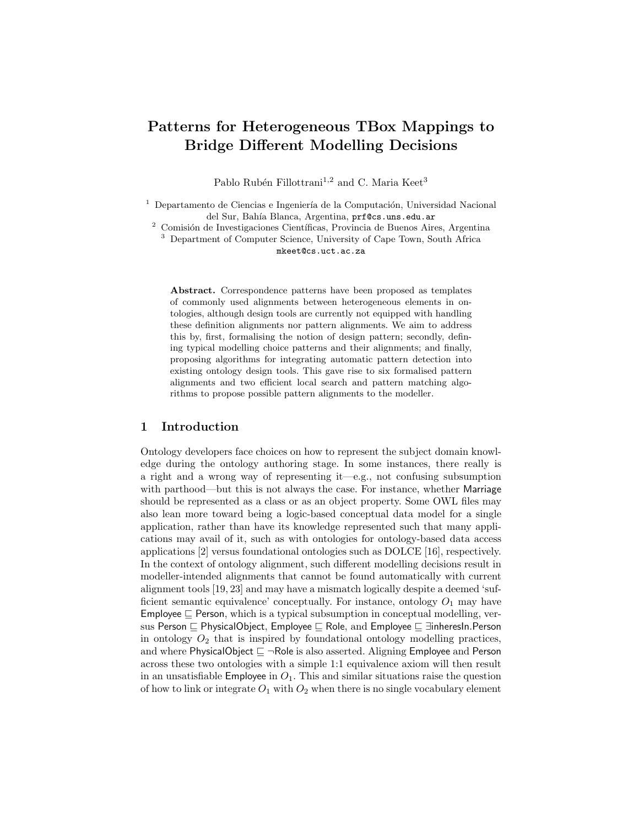# Patterns for Heterogeneous TBox Mappings to Bridge Different Modelling Decisions

Pablo Rubén Fillottrani<sup>1,2</sup> and C. Maria Keet<sup>3</sup>

 $^{\rm 1}$  Departamento de Ciencias e Ingeniería de la Computación, Universidad Nacional del Sur, Bahía Blanca, Argentina, prf@cs.uns.edu.ar

<sup>2</sup> Comisión de Investigaciones Científicas, Provincia de Buenos Aires, Argentina <sup>3</sup> Department of Computer Science, University of Cape Town, South Africa

mkeet@cs.uct.ac.za

Abstract. Correspondence patterns have been proposed as templates of commonly used alignments between heterogeneous elements in ontologies, although design tools are currently not equipped with handling these definition alignments nor pattern alignments. We aim to address this by, first, formalising the notion of design pattern; secondly, defining typical modelling choice patterns and their alignments; and finally, proposing algorithms for integrating automatic pattern detection into existing ontology design tools. This gave rise to six formalised pattern alignments and two efficient local search and pattern matching algorithms to propose possible pattern alignments to the modeller.

### 1 Introduction

Ontology developers face choices on how to represent the subject domain knowledge during the ontology authoring stage. In some instances, there really is a right and a wrong way of representing it—e.g., not confusing subsumption with parthood—but this is not always the case. For instance, whether Marriage should be represented as a class or as an object property. Some OWL files may also lean more toward being a logic-based conceptual data model for a single application, rather than have its knowledge represented such that many applications may avail of it, such as with ontologies for ontology-based data access applications [2] versus foundational ontologies such as DOLCE [16], respectively. In the context of ontology alignment, such different modelling decisions result in modeller-intended alignments that cannot be found automatically with current alignment tools [19, 23] and may have a mismatch logically despite a deemed 'sufficient semantic equivalence' conceptually. For instance, ontology  $O_1$  may have  $Employee \subseteq Person$ , which is a typical subsumption in conceptual modelling, versus Person ⊑ PhysicalObject, Employee ⊑ Role, and Employee ⊑ ∃inheresIn.Person in ontology  $O_2$  that is inspired by foundational ontology modelling practices, and where PhysicalObject  $\sqsubseteq \neg \text{Role}$  is also asserted. Aligning Employee and Person across these two ontologies with a simple 1:1 equivalence axiom will then result in an unsatisfiable Employee in  $O_1$ . This and similar situations raise the question of how to link or integrate  $O_1$  with  $O_2$  when there is no single vocabulary element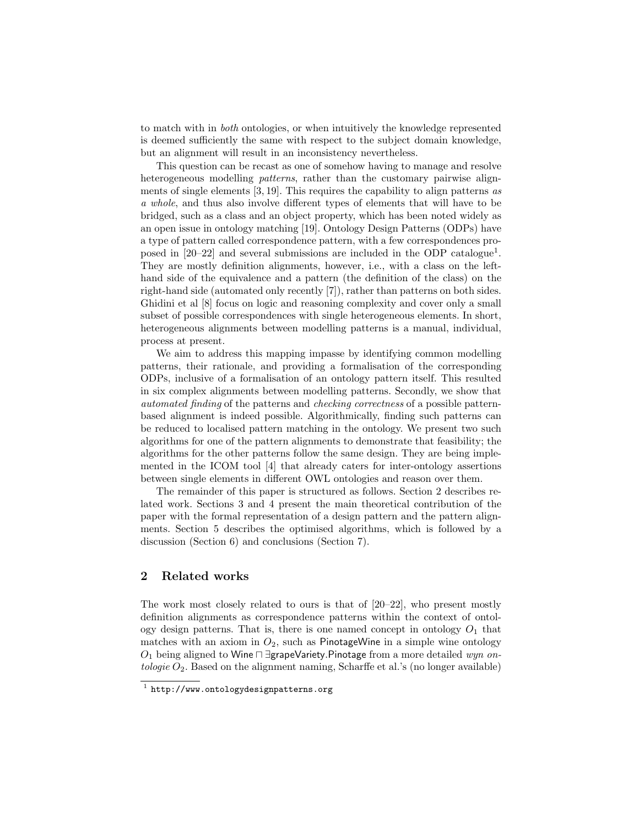to match with in both ontologies, or when intuitively the knowledge represented is deemed sufficiently the same with respect to the subject domain knowledge, but an alignment will result in an inconsistency nevertheless.

This question can be recast as one of somehow having to manage and resolve heterogeneous modelling *patterns*, rather than the customary pairwise alignments of single elements [3, 19]. This requires the capability to align patterns as a whole, and thus also involve different types of elements that will have to be bridged, such as a class and an object property, which has been noted widely as an open issue in ontology matching [19]. Ontology Design Patterns (ODPs) have a type of pattern called correspondence pattern, with a few correspondences proposed in [20–22] and several submissions are included in the ODP catalogue<sup>1</sup>. They are mostly definition alignments, however, i.e., with a class on the lefthand side of the equivalence and a pattern (the definition of the class) on the right-hand side (automated only recently [7]), rather than patterns on both sides. Ghidini et al [8] focus on logic and reasoning complexity and cover only a small subset of possible correspondences with single heterogeneous elements. In short, heterogeneous alignments between modelling patterns is a manual, individual, process at present.

We aim to address this mapping impasse by identifying common modelling patterns, their rationale, and providing a formalisation of the corresponding ODPs, inclusive of a formalisation of an ontology pattern itself. This resulted in six complex alignments between modelling patterns. Secondly, we show that automated finding of the patterns and checking correctness of a possible patternbased alignment is indeed possible. Algorithmically, finding such patterns can be reduced to localised pattern matching in the ontology. We present two such algorithms for one of the pattern alignments to demonstrate that feasibility; the algorithms for the other patterns follow the same design. They are being implemented in the ICOM tool [4] that already caters for inter-ontology assertions between single elements in different OWL ontologies and reason over them.

The remainder of this paper is structured as follows. Section 2 describes related work. Sections 3 and 4 present the main theoretical contribution of the paper with the formal representation of a design pattern and the pattern alignments. Section 5 describes the optimised algorithms, which is followed by a discussion (Section 6) and conclusions (Section 7).

# 2 Related works

The work most closely related to ours is that of [20–22], who present mostly definition alignments as correspondence patterns within the context of ontology design patterns. That is, there is one named concept in ontology  $O_1$  that matches with an axiom in  $O_2$ , such as PinotageWine in a simple wine ontology  $O_1$  being aligned to Wine  $\Box$  ∃grapeVariety.Pinotage from a more detailed wyn ontologie  $O_2$ . Based on the alignment naming, Scharffe et al.'s (no longer available)

<sup>1</sup> http://www.ontologydesignpatterns.org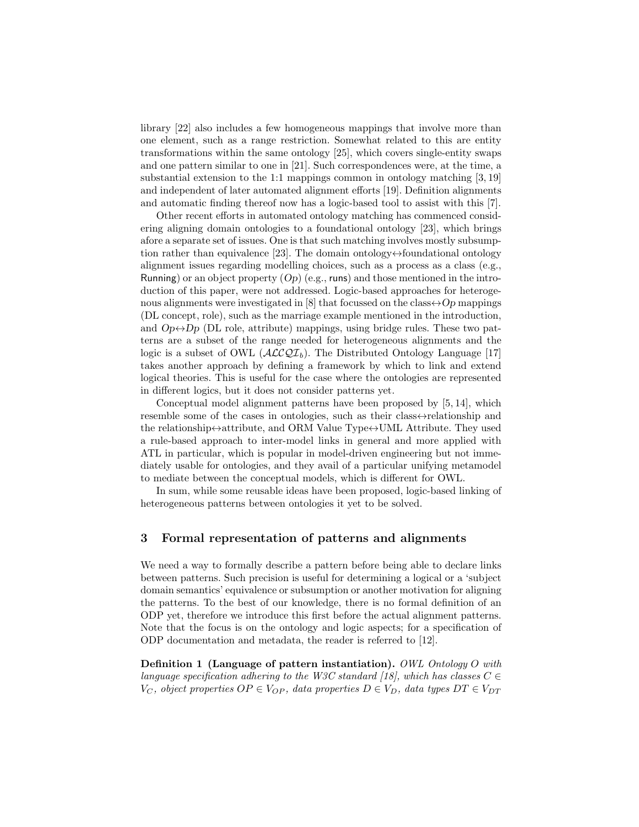library [22] also includes a few homogeneous mappings that involve more than one element, such as a range restriction. Somewhat related to this are entity transformations within the same ontology [25], which covers single-entity swaps and one pattern similar to one in [21]. Such correspondences were, at the time, a substantial extension to the 1:1 mappings common in ontology matching [3, 19] and independent of later automated alignment efforts [19]. Definition alignments and automatic finding thereof now has a logic-based tool to assist with this [7].

Other recent efforts in automated ontology matching has commenced considering aligning domain ontologies to a foundational ontology [23], which brings afore a separate set of issues. One is that such matching involves mostly subsumption rather than equivalence [23]. The domain ontology $\leftrightarrow$ foundational ontology alignment issues regarding modelling choices, such as a process as a class (e.g., Running) or an object property  $(Op)$  (e.g., runs) and those mentioned in the introduction of this paper, were not addressed. Logic-based approaches for heterogenous alignments were investigated in [8] that focussed on the class $\leftrightarrow$ Op mappings (DL concept, role), such as the marriage example mentioned in the introduction, and  $Op \leftrightarrow Dp$  (DL role, attribute) mappings, using bridge rules. These two patterns are a subset of the range needed for heterogeneous alignments and the logic is a subset of OWL  $(\mathcal{ALCQI}_b)$ . The Distributed Ontology Language [17] takes another approach by defining a framework by which to link and extend logical theories. This is useful for the case where the ontologies are represented in different logics, but it does not consider patterns yet.

Conceptual model alignment patterns have been proposed by [5, 14], which resemble some of the cases in ontologies, such as their class $\leftrightarrow$ relationship and the relationship↔attribute, and ORM Value Type↔UML Attribute. They used a rule-based approach to inter-model links in general and more applied with ATL in particular, which is popular in model-driven engineering but not immediately usable for ontologies, and they avail of a particular unifying metamodel to mediate between the conceptual models, which is different for OWL.

In sum, while some reusable ideas have been proposed, logic-based linking of heterogeneous patterns between ontologies it yet to be solved.

### 3 Formal representation of patterns and alignments

We need a way to formally describe a pattern before being able to declare links between patterns. Such precision is useful for determining a logical or a 'subject domain semantics' equivalence or subsumption or another motivation for aligning the patterns. To the best of our knowledge, there is no formal definition of an ODP yet, therefore we introduce this first before the actual alignment patterns. Note that the focus is on the ontology and logic aspects; for a specification of ODP documentation and metadata, the reader is referred to [12].

Definition 1 (Language of pattern instantiation). OWL Ontology O with language specification adhering to the W3C standard [18], which has classes  $C \in$  $V_C$ , object properties  $OP \in V_{OP}$ , data properties  $D \in V_D$ , data types  $DT \in V_{DT}$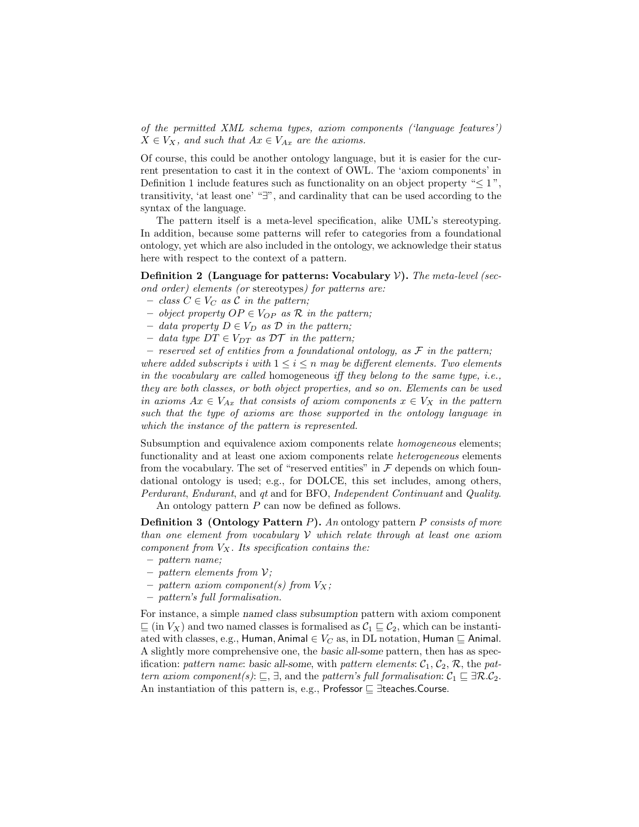of the permitted XML schema types, axiom components ('language features')  $X \in V_X$ , and such that  $Ax \in V_{Ax}$  are the axioms.

Of course, this could be another ontology language, but it is easier for the current presentation to cast it in the context of OWL. The 'axiom components' in Definition 1 include features such as functionality on an object property " $\leq 1$ ", transitivity, 'at least one' "∃", and cardinality that can be used according to the syntax of the language.

The pattern itself is a meta-level specification, alike UML's stereotyping. In addition, because some patterns will refer to categories from a foundational ontology, yet which are also included in the ontology, we acknowledge their status here with respect to the context of a pattern.

**Definition 2** (Language for patterns: Vocabulary  $V$ ). The meta-level (second order) elements (or stereotypes) for patterns are:

- class  $C \in V_C$  as  $\mathcal C$  in the pattern;
- $-$  object property  $OP \in V_{OP}$  as  $\mathcal R$  in the pattern;
- data property  $D \in V_D$  as  $D$  in the pattern;
- data type  $DT \in V_{DT}$  as  $DT$  in the pattern;
- $-$  reserved set of entities from a foundational ontology, as  $\mathcal F$  in the pattern;

where added subscripts i with  $1 \leq i \leq n$  may be different elements. Two elements in the vocabulary are called homogeneous iff they belong to the same type, i.e., they are both classes, or both object properties, and so on. Elements can be used in axioms  $Ax \in V_{Ax}$  that consists of axiom components  $x \in V_X$  in the pattern such that the type of axioms are those supported in the ontology language in which the instance of the pattern is represented.

Subsumption and equivalence axiom components relate homogeneous elements; functionality and at least one axiom components relate heterogeneous elements from the vocabulary. The set of "reserved entities" in  $\mathcal F$  depends on which foundational ontology is used; e.g., for DOLCE, this set includes, among others, Perdurant, Endurant, and qt and for BFO, Independent Continuant and Quality.

An ontology pattern  $P$  can now be defined as follows.

**Definition 3 (Ontology Pattern P).** An ontology pattern P consists of more than one element from vocabulary  $V$  which relate through at least one axiom component from  $V_X$ . Its specification contains the:

- pattern name;
- pattern elements from  $V$ ;
- pattern axiom component(s) from  $V_X$ ;
- pattern's full formalisation.

For instance, a simple named class subsumption pattern with axiom component  $\subseteq$  (in  $V_X$ ) and two named classes is formalised as  $\mathcal{C}_1 \subseteq \mathcal{C}_2$ , which can be instantiated with classes, e.g., Human, Animal  $\in V_C$  as, in DL notation, Human  $\sqsubseteq$  Animal. A slightly more comprehensive one, the basic all-some pattern, then has as specification: pattern name: basic all-some, with pattern elements:  $C_1$ ,  $C_2$ ,  $\mathcal{R}$ , the pattern axiom component(s):  $\sqsubseteq$ ,  $\exists$ , and the pattern's full formalisation:  $\mathcal{C}_1 \sqsubseteq \exists \mathcal{R} \mathcal{L}_2$ . An instantiation of this pattern is, e.g., Professor ⊑ ∃teaches.Course.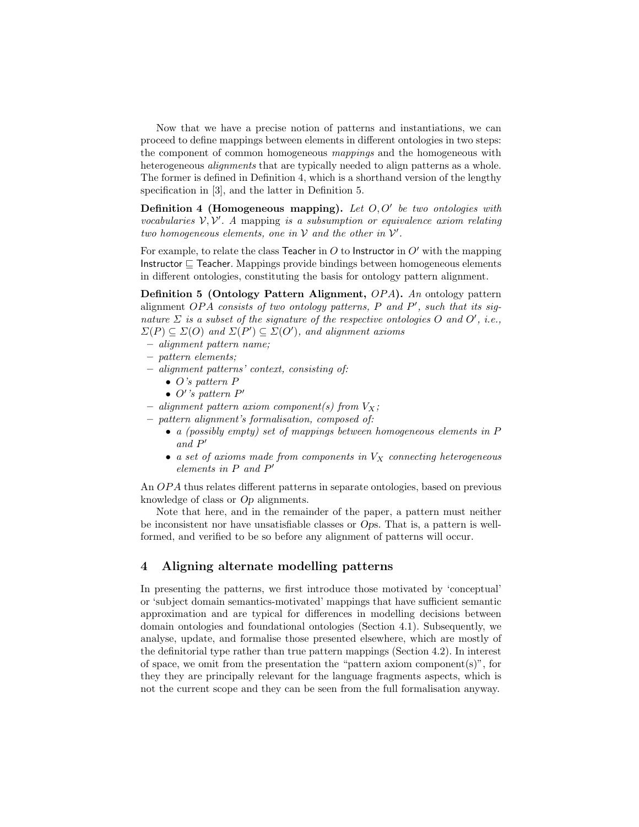Now that we have a precise notion of patterns and instantiations, we can proceed to define mappings between elements in different ontologies in two steps: the component of common homogeneous mappings and the homogeneous with heterogeneous *alignments* that are typically needed to align patterns as a whole. The former is defined in Definition 4, which is a shorthand version of the lengthy specification in [3], and the latter in Definition 5.

Definition 4 (Homogeneous mapping). Let  $O, O'$  be two ontologies with vocabularies  $V, V'$ . A mapping is a subsumption or equivalence axiom relating two homogeneous elements, one in  $V$  and the other in  $V'$ .

For example, to relate the class Teacher in  $O$  to Instructor in  $O'$  with the mapping Instructor  $\sqsubseteq$  Teacher. Mappings provide bindings between homogeneous elements in different ontologies, constituting the basis for ontology pattern alignment.

Definition 5 (Ontology Pattern Alignment,  $OPA$ ). An ontology pattern alignment  $OPA$  consists of two ontology patterns,  $P$  and  $P'$ , such that its signature  $\Sigma$  is a subset of the signature of the respective ontologies O and O', i.e.,  $\Sigma(P) \subseteq \Sigma(O)$  and  $\Sigma(P') \subseteq \Sigma(O')$ , and alignment axioms

- alignment pattern name;
- pattern elements;
- alignment patterns' context, consisting of:
	- $\bullet$  O's pattern P
	- $\bullet$  O''s pattern P'
- alignment pattern axiom component(s) from  $V_X$ ;
- pattern alignment's formalisation, composed of:
	- a (possibly empty) set of mappings between homogeneous elements in P and  $P'$
	- a set of axioms made from components in  $V_X$  connecting heterogeneous elements in  $P$  and  $P'$

An OPA thus relates different patterns in separate ontologies, based on previous knowledge of class or Op alignments.

Note that here, and in the remainder of the paper, a pattern must neither be inconsistent nor have unsatisfiable classes or Ops. That is, a pattern is wellformed, and verified to be so before any alignment of patterns will occur.

### 4 Aligning alternate modelling patterns

In presenting the patterns, we first introduce those motivated by 'conceptual' or 'subject domain semantics-motivated' mappings that have sufficient semantic approximation and are typical for differences in modelling decisions between domain ontologies and foundational ontologies (Section 4.1). Subsequently, we analyse, update, and formalise those presented elsewhere, which are mostly of the definitorial type rather than true pattern mappings (Section 4.2). In interest of space, we omit from the presentation the "pattern axiom component(s)", for they they are principally relevant for the language fragments aspects, which is not the current scope and they can be seen from the full formalisation anyway.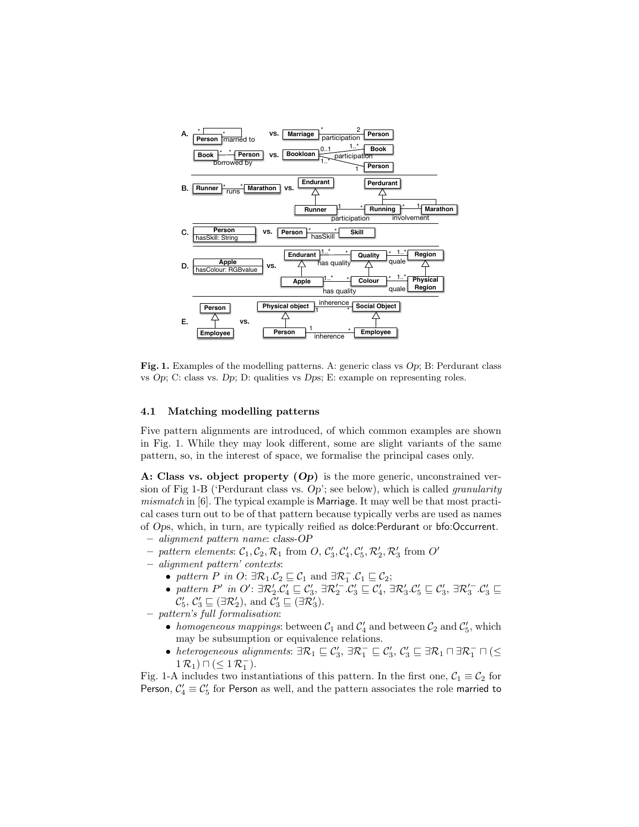

Fig. 1. Examples of the modelling patterns. A: generic class vs Op; B: Perdurant class vs Op; C: class vs. Dp; D: qualities vs Dps; E: example on representing roles.

#### 4.1 Matching modelling patterns

Five pattern alignments are introduced, of which common examples are shown in Fig. 1. While they may look different, some are slight variants of the same pattern, so, in the interest of space, we formalise the principal cases only.

A: Class vs. object property  $(\mathbf{Op})$  is the more generic, unconstrained version of Fig 1-B ('Perdurant class vs.  $Op$ '; see below), which is called *granularity* mismatch in  $[6]$ . The typical example is **Marriage**. It may well be that most practical cases turn out to be of that pattern because typically verbs are used as names of Ops, which, in turn, are typically reified as dolce:Perdurant or bfo:Occurrent.

- alignment pattern name: class-OP
- pattern elements:  $C_1, C_2, R_1$  from  $O, C'_3, C'_4, C'_5, R'_2, R'_3$  from  $O'$
- alignment pattern' contexts:
	- pattern P in O:  $\exists \mathcal{R}_1 \mathcal{L}_2 \sqsubseteq \mathcal{C}_1$  and  $\exists \mathcal{R}_1^- \mathcal{L}_1 \sqsubseteq \mathcal{C}_2$ ;
	- pattern P' in  $O'$ :  $\exists \mathcal{R}'_2 \cdot \mathcal{C}'_4 \sqsubseteq \mathcal{C}'_3$ ,  $\exists \mathcal{R}'_2 \cdot \mathcal{C}'_3 \sqsubseteq \mathcal{C}'_4$ ,  $\exists \mathcal{R}'_3 \cdot \mathcal{C}'_5 \sqsubseteq \mathcal{C}'_3$ ,  $\exists \mathcal{R}'_3 \cdot \mathcal{C}'_3 \sqsubseteq$  $\mathcal{C}_5', \mathcal{C}_3' \sqsubseteq (\exists \mathcal{R}_2'), \text{ and } \mathcal{C}_3' \sqsubseteq (\exists \mathcal{R}_3').$
- pattern's full formalisation:
	- homogeneous mappings: between  $C_1$  and  $C'_4$  and between  $C_2$  and  $C'_5$ , which may be subsumption or equivalence relations.
	- heterogeneous alignments:  $\exists \mathcal{R}_1 \sqsubseteq \mathcal{C}_3', \exists \mathcal{R}_1^- \sqsubseteq \mathcal{C}_3', \mathcal{C}_3' \sqsubseteq \exists \mathcal{R}_1 \sqcap \exists \mathcal{R}_1^- \sqcap (\leq$  $1\mathcal{R}_1$ )  $\Box$  ( $\leq 1\mathcal{R}_1^-$ ).

Fig. 1-A includes two instantiations of this pattern. In the first one,  $C_1 \equiv C_2$  for Person,  $C_4' \equiv C_5'$  for Person as well, and the pattern associates the role married to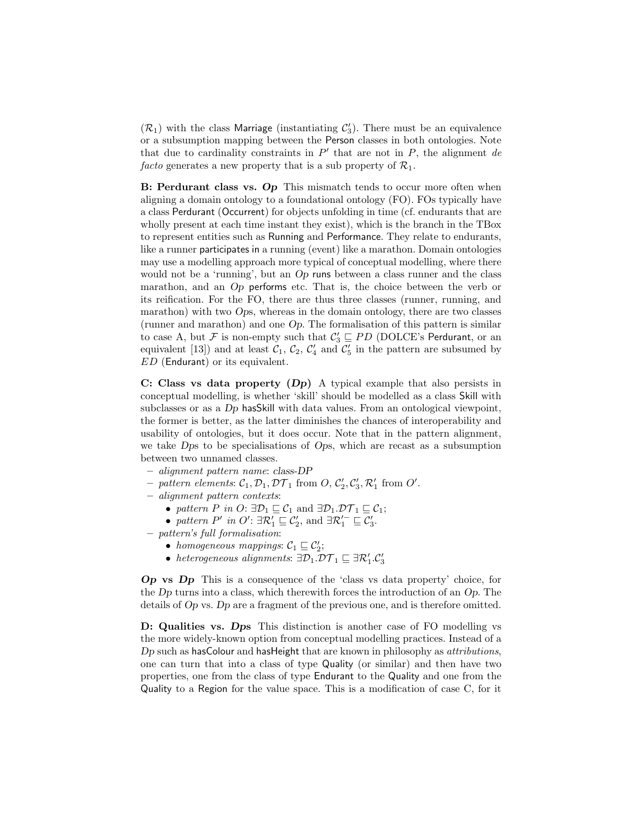$(\mathcal{R}_1)$  with the class Marriage (instantiating  $\mathcal{C}'_3$ ). There must be an equivalence or a subsumption mapping between the Person classes in both ontologies. Note that due to cardinality constraints in  $P'$  that are not in  $P$ , the alignment de facto generates a new property that is a sub property of  $\mathcal{R}_1$ .

B: Perdurant class vs. Op This mismatch tends to occur more often when aligning a domain ontology to a foundational ontology (FO). FOs typically have a class Perdurant (Occurrent) for objects unfolding in time (cf. endurants that are wholly present at each time instant they exist), which is the branch in the TBox to represent entities such as Running and Performance. They relate to endurants, like a runner participates in a running (event) like a marathon. Domain ontologies may use a modelling approach more typical of conceptual modelling, where there would not be a 'running', but an Op runs between a class runner and the class marathon, and an Op performs etc. That is, the choice between the verb or its reification. For the FO, there are thus three classes (runner, running, and marathon) with two Ops, whereas in the domain ontology, there are two classes (runner and marathon) and one Op. The formalisation of this pattern is similar to case A, but  $\mathcal F$  is non-empty such that  $\mathcal C'_3 \sqsubseteq PD$  (DOLCE's Perdurant, or an equivalent [13]) and at least  $C_1$ ,  $C_2$ ,  $C_4$  and  $C_5$  in the pattern are subsumed by ED (Endurant) or its equivalent.

C: Class vs data property  $(Dp)$  A typical example that also persists in conceptual modelling, is whether 'skill' should be modelled as a class Skill with subclasses or as a Dp hasSkill with data values. From an ontological viewpoint, the former is better, as the latter diminishes the chances of interoperability and usability of ontologies, but it does occur. Note that in the pattern alignment, we take Dps to be specialisations of Ops, which are recast as a subsumption between two unnamed classes.

- alignment pattern name: class-DP
- pattern elements:  $C_1$ ,  $D_1$ ,  $DT_1$  from  $O$ ,  $C_2'$ ,  $C_3'$ ,  $R_1'$  from  $O'$ .
- alignment pattern contexts:
	- pattern P in O:  $\exists \mathcal{D}_1 \sqsubseteq \mathcal{C}_1$  and  $\exists \mathcal{D}_1 \ldots \mathcal{D}\mathcal{T}_1 \sqsubseteq \mathcal{C}_1$ ;
	- pattern P' in  $O'$ :  $\exists \mathcal{R}'_1 \sqsubseteq \mathcal{C}'_2$ , and  $\exists \mathcal{R}'_1 \sqsubseteq \mathcal{C}'_3$ .

– pattern's full formalisation:

- homogeneous mappings:  $C_1 \sqsubseteq C_2$ ;
- heterogeneous alignments:  $\exists \mathcal{D}_1.\mathcal{DT}_1 \sqsubseteq \exists \mathcal{R}_1'.\mathcal{C}_3'$

Op vs Dp This is a consequence of the 'class vs data property' choice, for the Dp turns into a class, which therewith forces the introduction of an Op. The details of Op vs. Dp are a fragment of the previous one, and is therefore omitted.

D: Qualities vs. Dps This distinction is another case of FO modelling vs the more widely-known option from conceptual modelling practices. Instead of a Dp such as has Colour and has Height that are known in philosophy as *attributions*, one can turn that into a class of type Quality (or similar) and then have two properties, one from the class of type Endurant to the Quality and one from the Quality to a Region for the value space. This is a modification of case C, for it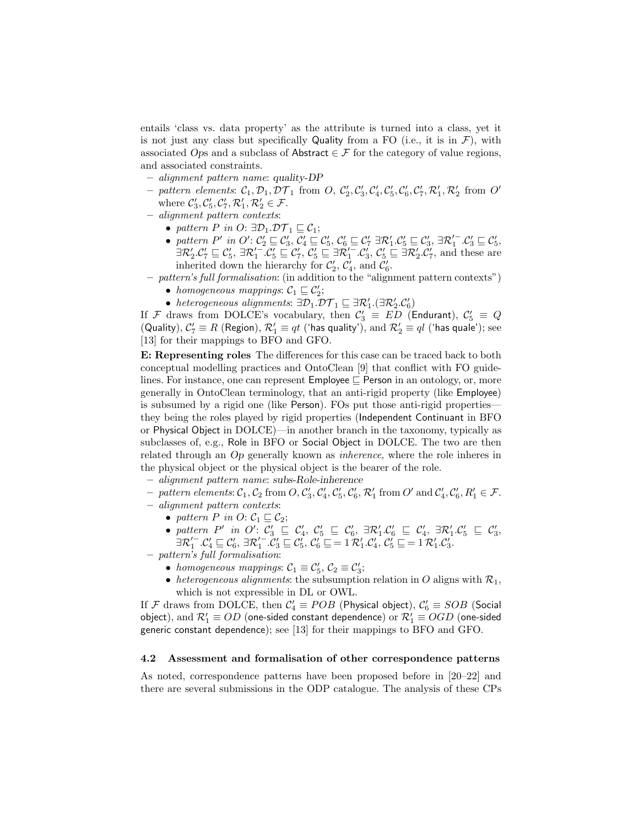entails 'class vs. data property' as the attribute is turned into a class, yet it is not just any class but specifically Quality from a FO (i.e., it is in  $\mathcal{F}$ ), with associated Ops and a subclass of Abstract  $\in \mathcal{F}$  for the category of value regions, and associated constraints.

- alignment pattern name: quality-DP
- pattern elements:  $C_1, D_1, D\mathcal{T}_1$  from  $O, C'_2, C'_3, C'_4, C'_5, C'_6, C'_7, R'_1, R'_2$  from  $O'$ where  $C'_3, C'_5, C'_7, R'_1, R'_2 \in \mathcal{F}$ .
- alignment pattern contexts:
	- pattern P in O:  $\exists \mathcal{D}_1.\mathcal{DT}_1 \sqsubseteq \mathcal{C}_1;$
	- pattern P' in  $O'$ :  $C_2' \sqsubseteq C_3'$ ,  $C_4' \sqsubseteq C_5'$ ,  $C_6' \sqsubseteq C_7'$   $\exists \mathcal{R}_1'$ . $C_5' \sqsubseteq C_3'$ ,  $\exists \mathcal{R}_1'^-$ . $C_3' \sqsubseteq C_5'$ ,  $\exists \mathcal{R}'_2 \cdot \mathcal{C}'_7 \sqsubseteq \mathcal{C}'_5, \exists \mathcal{R}'_1 \neg \cdot \mathcal{C}'_5 \sqsubseteq \mathcal{C}'_7, \mathcal{C}'_5 \sqsubseteq \exists \mathcal{R}'_1 \neg \cdot \mathcal{C}'_3, \mathcal{C}'_5 \sqsubseteq \exists \mathcal{R}'_2 \cdot \mathcal{C}'_7$ , and these are inherited down the hierarchy for  $C_2$ ,  $C_4$ , and  $C_6$ .
- pattern's full formalisation: (in addition to the "alignment pattern contexts")
	- homogeneous mappings:  $C_1 \sqsubseteq C_2$ ;
	- heterogeneous alignments:  $\exists \mathcal{D}_1.\mathcal{DT}_1 \sqsubseteq \exists \mathcal{R}'_1.(\exists \mathcal{R}'_2.\mathcal{C}'_6)$

If  $\mathcal F$  draws from DOLCE's vocabulary, then  $\mathcal C'_3 \ \equiv \ ED$  (Endurant),  $\mathcal C'_5 \ \equiv \ Q$ (Quality),  $\mathcal{C}'_7\equiv R$  (Region),  $\mathcal{R}'_1\equiv qt$  ('has quality'), and  $\mathcal{R}'_2\equiv ql$  ('has quale'); see [13] for their mappings to BFO and GFO.

E: Representing roles The differences for this case can be traced back to both conceptual modelling practices and OntoClean [9] that conflict with FO guidelines. For instance, one can represent  $\mathsf{Employee} \sqsubset \mathsf{Person}$  in an ontology, or, more generally in OntoClean terminology, that an anti-rigid property (like Employee) is subsumed by a rigid one (like Person). FOs put those anti-rigid properties they being the roles played by rigid properties (Independent Continuant in BFO or Physical Object in DOLCE)—in another branch in the taxonomy, typically as subclasses of, e.g., Role in BFO or Social Object in DOLCE. The two are then related through an Op generally known as inherence, where the role inheres in the physical object or the physical object is the bearer of the role.

- alignment pattern name: subs-Role-inherence
- pattern elements:  $C_1$ ,  $C_2$  from  $O$ ,  $C'_3$ ,  $C'_4$ ,  $C'_5$ ,  $C'_6$ ,  $\mathcal{R}'_1$  from  $O'$  and  $C'_4$ ,  $C'_6$ ,  $R'_1 \in \mathcal{F}$ .
- alignment pattern contexts:
	- pattern P in O:  $C_1 \sqsubseteq C_2$ ;
	- pattern P' in O':  $\mathcal{C}_3' \subseteq \mathcal{C}_4'$ ,  $\mathcal{C}_5' \subseteq \mathcal{C}_6'$ ,  $\exists \mathcal{R}_1'.\mathcal{C}_6' \subseteq \mathcal{C}_4'$ ,  $\exists \mathcal{R}_1'.\mathcal{C}_5' \subseteq \mathcal{C}_3'$ ,  $\exists \mathcal{R}^{\prime -}_1 \ldotp \mathcal{C}^{\prime}_4 \sqsubseteq \mathcal{C}^{\prime}_6, \, \exists \mathcal{R}^{\prime -}_1 \ldotp \mathcal{C}^{\prime}_3 \sqsubseteq \mathcal{C}^{\prime}_5, \, \mathcal{C}^{\prime}_6 \sqsubseteq = 1 \, \mathcal{R}^{\prime}_1 \ldotp \mathcal{C}^{\prime}_4, \, \mathcal{C}^{\prime}_5 \sqsubseteq = 1 \, \mathcal{R}^{\prime}_1 \ldotp \mathcal{C}^{\prime}_3.$
- pattern's full formalisation:
	- homogeneous mappings:  $C_1 \equiv C_5', C_2 \equiv C_3';$
	- heterogeneous alignments: the subsumption relation in O aligns with  $\mathcal{R}_1$ , which is not expressible in DL or OWL.

If  $\mathcal F$  draws from DOLCE, then  $\mathcal C'_4\equiv POB$  (Physical object),  $\mathcal C'_6\equiv SOB$  (Social object), and  $\mathcal{R}_1'\equiv OD$  (one-sided constant dependence) or  $\mathcal{R}_1'\equiv OGD$  (one-sided generic constant dependence); see [13] for their mappings to BFO and GFO.

#### 4.2 Assessment and formalisation of other correspondence patterns

As noted, correspondence patterns have been proposed before in [20–22] and there are several submissions in the ODP catalogue. The analysis of these CPs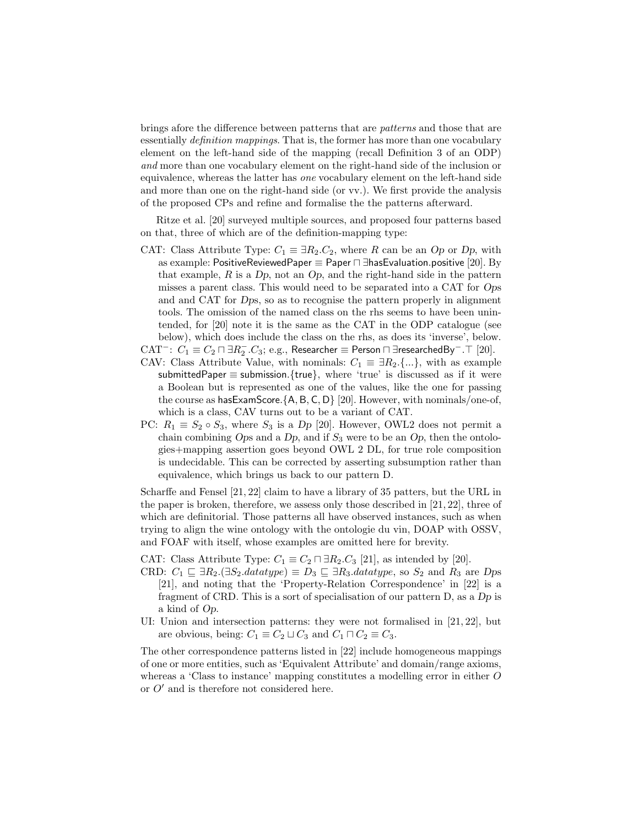brings afore the difference between patterns that are patterns and those that are essentially *definition mappings*. That is, the former has more than one vocabulary element on the left-hand side of the mapping (recall Definition 3 of an ODP) and more than one vocabulary element on the right-hand side of the inclusion or equivalence, whereas the latter has one vocabulary element on the left-hand side and more than one on the right-hand side (or vv.). We first provide the analysis of the proposed CPs and refine and formalise the the patterns afterward.

Ritze et al. [20] surveyed multiple sources, and proposed four patterns based on that, three of which are of the definition-mapping type:

- CAT: Class Attribute Type:  $C_1 \equiv \exists R_2.C_2$ , where R can be an Op or Dp, with as example: PositiveReviewedPaper  $\equiv$  Paper  $\Box$  ∃hasEvaluation.positive [20]. By that example,  $R$  is a  $Dp$ , not an  $Op$ , and the right-hand side in the pattern misses a parent class. This would need to be separated into a CAT for Ops and and CAT for Dps, so as to recognise the pattern properly in alignment tools. The omission of the named class on the rhs seems to have been unintended, for [20] note it is the same as the CAT in the ODP catalogue (see below), which does include the class on the rhs, as does its 'inverse', below.
- $\text{CAT}^-: C_1 \equiv C_2 \sqcap \exists R_2^-.C_3;\text{ e.g., Researcher} \equiv \text{Person} \sqcap \exists \text{researchedBy}^-. \top [20].$ CAV: Class Attribute Value, with nominals:  $C_1 \equiv \exists R_2 \{...\}$ , with as example
- submittedPaper  $\equiv$  submission.{true}, where 'true' is discussed as if it were a Boolean but is represented as one of the values, like the one for passing the course as hasExamScore.{A, B, C, D} [20]. However, with nominals/one-of, which is a class, CAV turns out to be a variant of CAT.
- PC:  $R_1 \equiv S_2 \circ S_3$ , where  $S_3$  is a Dp [20]. However, OWL2 does not permit a chain combining  $Ops$  and a  $Dp$ , and if  $S_3$  were to be an  $Op$ , then the ontologies+mapping assertion goes beyond OWL 2 DL, for true role composition is undecidable. This can be corrected by asserting subsumption rather than equivalence, which brings us back to our pattern D.

Scharffe and Fensel [21, 22] claim to have a library of 35 patters, but the URL in the paper is broken, therefore, we assess only those described in [21, 22], three of which are definitorial. Those patterns all have observed instances, such as when trying to align the wine ontology with the ontologie du vin, DOAP with OSSV, and FOAF with itself, whose examples are omitted here for brevity.

- CAT: Class Attribute Type:  $C_1 \equiv C_2 \sqcap \exists R_2.C_3$  [21], as intended by [20].
- CRD:  $C_1 \subseteq \exists R_2.(\exists S_2.datatype) \equiv D_3 \subseteq \exists R_3.datatype,$  so  $S_2$  and  $R_3$  are Dps [21], and noting that the 'Property-Relation Correspondence' in [22] is a fragment of CRD. This is a sort of specialisation of our pattern D, as a Dp is a kind of Op.
- UI: Union and intersection patterns: they were not formalised in [21, 22], but are obvious, being:  $C_1 \equiv C_2 \sqcup C_3$  and  $C_1 \sqcap C_2 \equiv C_3$ .

The other correspondence patterns listed in [22] include homogeneous mappings of one or more entities, such as 'Equivalent Attribute' and domain/range axioms, whereas a 'Class to instance' mapping constitutes a modelling error in either O or  $O'$  and is therefore not considered here.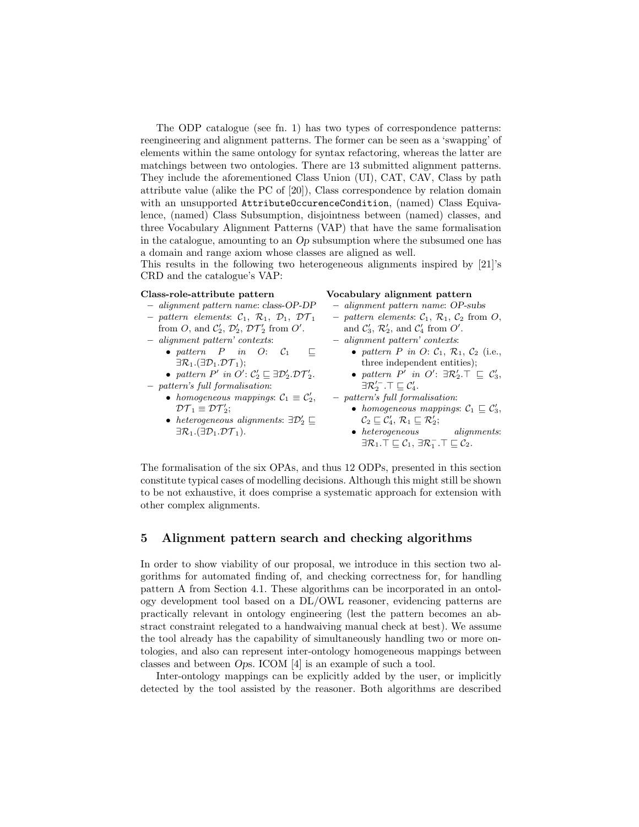The ODP catalogue (see fn. 1) has two types of correspondence patterns: reengineering and alignment patterns. The former can be seen as a 'swapping' of elements within the same ontology for syntax refactoring, whereas the latter are matchings between two ontologies. There are 13 submitted alignment patterns. They include the aforementioned Class Union (UI), CAT, CAV, Class by path attribute value (alike the PC of [20]), Class correspondence by relation domain with an unsupported AttributeOccurenceCondition, (named) Class Equivalence, (named) Class Subsumption, disjointness between (named) classes, and three Vocabulary Alignment Patterns (VAP) that have the same formalisation in the catalogue, amounting to an Op subsumption where the subsumed one has a domain and range axiom whose classes are aligned as well.

This results in the following two heterogeneous alignments inspired by [21]'s CRD and the catalogue's VAP:

#### Class-role-attribute pattern

- alignment pattern name: class-OP-DP – pattern elements:  $C_1$ ,  $\mathcal{R}_1$ ,  $\mathcal{D}_1$ ,  $\mathcal{D}\mathcal{T}_1$
- from O, and  $C_2$ ,  $\mathcal{D}_2$ ,  $\mathcal{DT}_2$  from O'.
- alignment pattern' contexts: • pattern  $P$  in  $O: C_1 \subseteq$ 
	- $\exists \mathcal{R}_1.(\exists \mathcal{D}_1.\mathcal{DT}_1);$
- pattern P' in  $O'$ :  $C_2' \sqsubseteq \exists \mathcal{D}_2'.\mathcal{DT}_2'.$ – pattern's full formalisation:
	- homogeneous mappings:  $C_1 \equiv C_2'$ ,  $\mathcal{DT}_1 \equiv \mathcal{DT}'_2;$
	- heterogeneous alignments:  $\exists \mathcal{D}'_2 \sqsubseteq$  $\exists \mathcal{R}_1.(\exists \mathcal{D}_1.\mathcal{DT}_1).$

#### Vocabulary alignment pattern

- alignment pattern name: OP-subs
- pattern elements:  $C_1$ ,  $\mathcal{R}_1$ ,  $C_2$  from O, and  $C'_3$ ,  $\mathcal{R}'_2$ , and  $\mathcal{C}'_4$  from  $O'$ .
- alignment pattern' contexts:
	- pattern P in O:  $C_1$ ,  $\mathcal{R}_1$ ,  $C_2$  (i.e., three independent entities);
	- pattern  $P'$  in  $O'$ :  $\exists \mathcal{R}'_2$ .  $\top \subseteq \mathcal{C}'_3$ ,  $\exists \mathcal{R}_2^{\prime -}$ . T  $\sqsubseteq \mathcal{C}_4^{\prime}$ .
- pattern's full formalisation:
	- homogeneous mappings:  $C_1 \sqsubseteq C'_3$ ,  $\mathcal{C}_2 \sqsubseteq \mathcal{C}_4', \mathcal{R}_1 \sqsubseteq \mathcal{R}_2';$
	- heterogeneous alignments:  $\exists \mathcal{R}_1. \top \sqsubseteq \mathcal{C}_1, \, \exists \mathcal{R}_1^- . \top \sqsubseteq \mathcal{C}_2.$

The formalisation of the six OPAs, and thus 12 ODPs, presented in this section constitute typical cases of modelling decisions. Although this might still be shown to be not exhaustive, it does comprise a systematic approach for extension with other complex alignments.

# 5 Alignment pattern search and checking algorithms

In order to show viability of our proposal, we introduce in this section two algorithms for automated finding of, and checking correctness for, for handling pattern A from Section 4.1. These algorithms can be incorporated in an ontology development tool based on a DL/OWL reasoner, evidencing patterns are practically relevant in ontology engineering (lest the pattern becomes an abstract constraint relegated to a handwaiving manual check at best). We assume the tool already has the capability of simultaneously handling two or more ontologies, and also can represent inter-ontology homogeneous mappings between classes and between Ops. ICOM [4] is an example of such a tool.

Inter-ontology mappings can be explicitly added by the user, or implicitly detected by the tool assisted by the reasoner. Both algorithms are described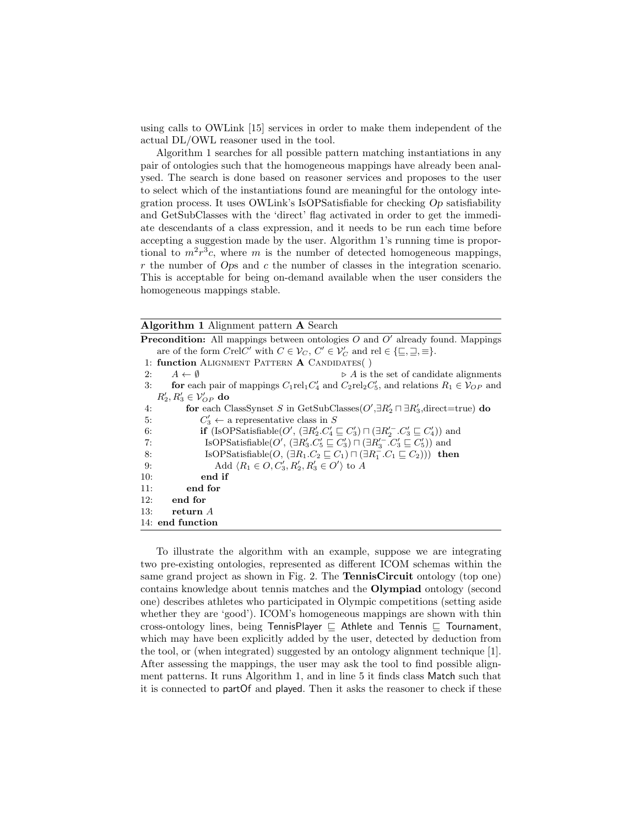using calls to OWLink [15] services in order to make them independent of the actual DL/OWL reasoner used in the tool.

Algorithm 1 searches for all possible pattern matching instantiations in any pair of ontologies such that the homogeneous mappings have already been analysed. The search is done based on reasoner services and proposes to the user to select which of the instantiations found are meaningful for the ontology integration process. It uses OWLink's IsOPSatisfiable for checking Op satisfiability and GetSubClasses with the 'direct' flag activated in order to get the immediate descendants of a class expression, and it needs to be run each time before accepting a suggestion made by the user. Algorithm 1's running time is proportional to  $m^2r^3c$ , where m is the number of detected homogeneous mappings,  $r$  the number of Ops and  $c$  the number of classes in the integration scenario. This is acceptable for being on-demand available when the user considers the homogeneous mappings stable.

Algorithm 1 Alignment pattern A Search

| <b>Precondition:</b> All mappings between ontologies $O$ and $O'$ already found. Mappings |                                                                                                                                   |  |
|-------------------------------------------------------------------------------------------|-----------------------------------------------------------------------------------------------------------------------------------|--|
|                                                                                           | are of the form $CrelC'$ with $C \in \mathcal{V}_C$ , $C' \in \mathcal{V}_C'$ and rel $\in \{\sqsubseteq, \sqsupseteq, \equiv\}.$ |  |
|                                                                                           | 1: function ALIGNMENT PATTERN <b>A</b> CANDIDATES()                                                                               |  |
| 2:                                                                                        | $A \leftarrow \emptyset$<br>$\triangleright$ A is the set of candidate alignments                                                 |  |
| 3:                                                                                        | for each pair of mappings $C_1$ rel <sub>1</sub> $C'_4$ and $C_2$ rel <sub>2</sub> $C'_5$ , and relations $R_1 \in V_{OP}$ and    |  |
|                                                                                           | $R'_2, R'_3 \in \mathcal{V}_{OP}$ do                                                                                              |  |
| 4:                                                                                        | for each ClassSynset S in GetSubClasses(O', $\exists R'_2 \sqcap \exists R'_3$ , direct=true) do                                  |  |
| 5:                                                                                        | $C'_3 \leftarrow$ a representative class in S                                                                                     |  |
| 6:                                                                                        | <b>if</b> (IsOPSatisfiable(O', $(\exists R'_2.C'_4 \sqsubseteq C'_3) \sqcap (\exists R'_2.C'_3 \sqsubseteq C'_4)$ ) and           |  |
| 7:                                                                                        | IsOPSatisfiable(O', $(\exists R'_3.C'_5 \sqsubseteq C'_3) \sqcap (\exists R'_3'.C'_3 \sqsubseteq C'_5)$ ) and                     |  |
| 8:                                                                                        | IsOPSatisfiable(O, $(\exists R_1.C_2 \sqsubseteq C_1) \sqcap (\exists R_1^- . C_1 \sqsubseteq C_2)$ ) then                        |  |
| 9:                                                                                        | Add $\langle R_1 \in \mathcal{O}, C'_3, R'_2, R'_3 \in \mathcal{O}' \rangle$ to A                                                 |  |
| 10:                                                                                       | end if                                                                                                                            |  |
| 11:                                                                                       | end for                                                                                                                           |  |
| 12:                                                                                       | end for                                                                                                                           |  |
| 13:                                                                                       | return $A$                                                                                                                        |  |
|                                                                                           | 14: end function                                                                                                                  |  |

To illustrate the algorithm with an example, suppose we are integrating two pre-existing ontologies, represented as different ICOM schemas within the same grand project as shown in Fig. 2. The **TennisCircuit** ontology (top one) contains knowledge about tennis matches and the Olympiad ontology (second one) describes athletes who participated in Olympic competitions (setting aside whether they are 'good'). ICOM's homogeneous mappings are shown with thin cross-ontology lines, being TennisPlayer  $\sqsubseteq$  Athlete and Tennis  $\sqsubseteq$  Tournament, which may have been explicitly added by the user, detected by deduction from the tool, or (when integrated) suggested by an ontology alignment technique [1]. After assessing the mappings, the user may ask the tool to find possible alignment patterns. It runs Algorithm 1, and in line 5 it finds class Match such that it is connected to partOf and played. Then it asks the reasoner to check if these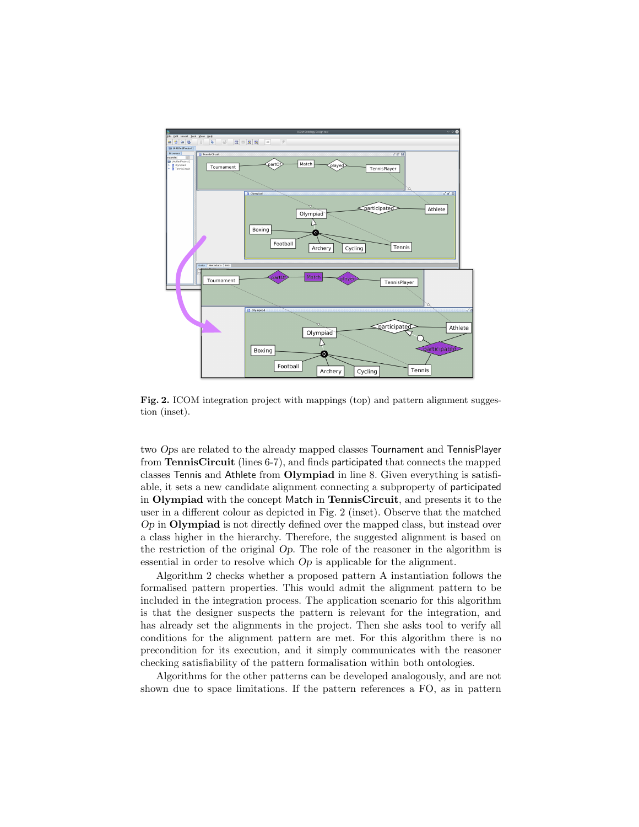

Fig. 2. ICOM integration project with mappings (top) and pattern alignment suggestion (inset).

two Ops are related to the already mapped classes Tournament and TennisPlayer from TennisCircuit (lines 6-7), and finds participated that connects the mapped classes Tennis and Athlete from Olympiad in line 8. Given everything is satisfiable, it sets a new candidate alignment connecting a subproperty of participated in Olympiad with the concept Match in TennisCircuit, and presents it to the user in a different colour as depicted in Fig. 2 (inset). Observe that the matched Op in Olympiad is not directly defined over the mapped class, but instead over a class higher in the hierarchy. Therefore, the suggested alignment is based on the restriction of the original Op. The role of the reasoner in the algorithm is essential in order to resolve which Op is applicable for the alignment.

Algorithm 2 checks whether a proposed pattern A instantiation follows the formalised pattern properties. This would admit the alignment pattern to be included in the integration process. The application scenario for this algorithm is that the designer suspects the pattern is relevant for the integration, and has already set the alignments in the project. Then she asks tool to verify all conditions for the alignment pattern are met. For this algorithm there is no precondition for its execution, and it simply communicates with the reasoner checking satisfiability of the pattern formalisation within both ontologies.

Algorithms for the other patterns can be developed analogously, and are not shown due to space limitations. If the pattern references a FO, as in pattern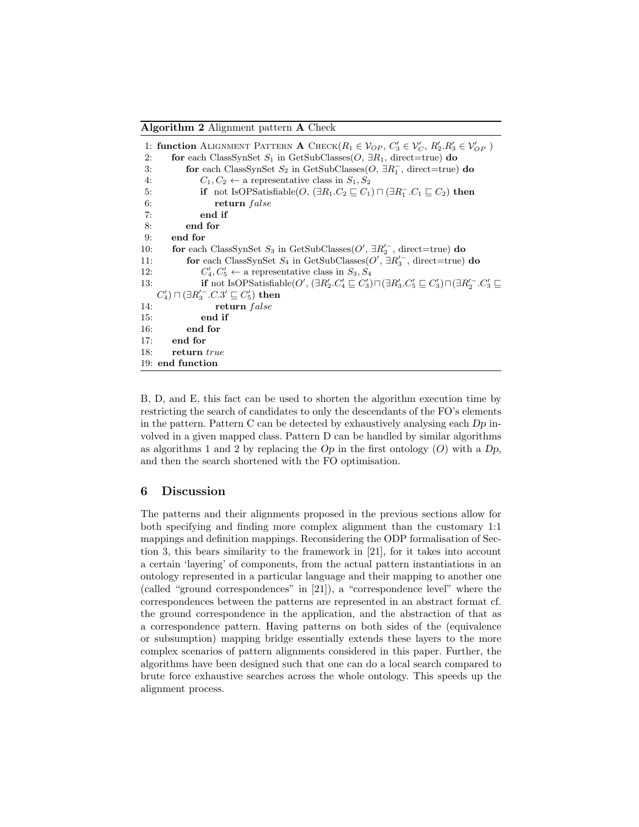Algorithm 2 Alignment pattern A Check

|     | 1: function ALIGNMENT PATTERN <b>A</b> CHECK $(R_1 \in \mathcal{V}_{OP}, C'_3 \in \mathcal{V}'_C, R'_2.R'_3 \in \mathcal{V}'_{OP}$                         |
|-----|------------------------------------------------------------------------------------------------------------------------------------------------------------|
| 2:  | for each ClassSynSet $S_1$ in GetSubClasses(O, $\exists R_1$ , direct=true) do                                                                             |
| 3:  | for each ClassSynSet $S_2$ in GetSubClasses(O, $\exists R_1^-$ , direct=true) do                                                                           |
| 4:  | $C_1, C_2 \leftarrow$ a representative class in $S_1, S_2$                                                                                                 |
| 5:  | if not IsOPSatisfiable(O, $(\exists R_1.C_2 \sqsubseteq C_1) \sqcap (\exists R_1^- . C_1 \sqsubseteq C_2)$ then                                            |
| 6:  | return false                                                                                                                                               |
| 7:  | end if                                                                                                                                                     |
| 8:  | end for                                                                                                                                                    |
| 9:  | end for                                                                                                                                                    |
| 10: | for each ClassSynSet $S_3$ in GetSubClasses(O', $\exists R_2^{\prime-}$ , direct=true) do                                                                  |
| 11: | for each ClassSynSet $S_4$ in GetSubClasses(O', $\exists R_3^{\prime-}$ , direct=true) do                                                                  |
| 12: | $C'_4, C'_5 \leftarrow$ a representative class in $S_3, S_4$                                                                                               |
| 13: | <b>if</b> not IsOPSatisfiable(O', $(\exists R'_2.C'_4 \sqsubseteq C'_3) \sqcap (\exists R'_3.C'_5 \sqsubseteq C'_3) \sqcap (\exists R'_2-C'_3 \sqsubseteq$ |
|     | $C'_4$ ) $\sqcap (\exists R'^{-}_{3} . C.3' \sqsubseteq C'_5)$ then                                                                                        |
| 14: | return false                                                                                                                                               |
| 15: | end if                                                                                                                                                     |
| 16: | end for                                                                                                                                                    |
| 17: | end for                                                                                                                                                    |
| 18: | return true                                                                                                                                                |
|     | 19: end function                                                                                                                                           |

B, D, and E, this fact can be used to shorten the algorithm execution time by restricting the search of candidates to only the descendants of the FO's elements in the pattern. Pattern C can be detected by exhaustively analysing each Dp involved in a given mapped class. Pattern D can be handled by similar algorithms as algorithms 1 and 2 by replacing the  $Op$  in the first ontology  $(O)$  with a  $Dp$ , and then the search shortened with the FO optimisation.

### 6 Discussion

The patterns and their alignments proposed in the previous sections allow for both specifying and finding more complex alignment than the customary 1:1 mappings and definition mappings. Reconsidering the ODP formalisation of Section 3, this bears similarity to the framework in [21], for it takes into account a certain 'layering' of components, from the actual pattern instantiations in an ontology represented in a particular language and their mapping to another one (called "ground correspondences" in [21]), a "correspondence level" where the correspondences between the patterns are represented in an abstract format cf. the ground correspondence in the application, and the abstraction of that as a correspondence pattern. Having patterns on both sides of the (equivalence or subsumption) mapping bridge essentially extends these layers to the more complex scenarios of pattern alignments considered in this paper. Further, the algorithms have been designed such that one can do a local search compared to brute force exhaustive searches across the whole ontology. This speeds up the alignment process.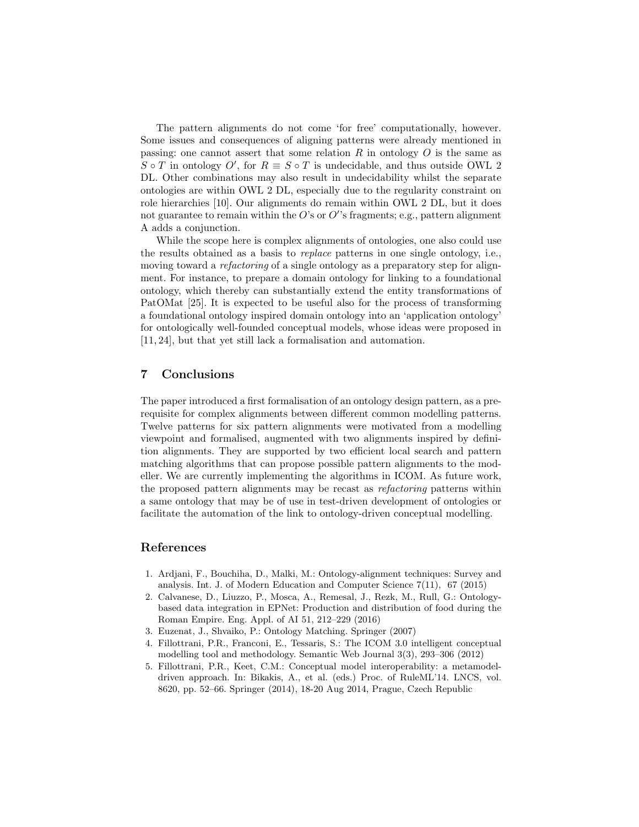The pattern alignments do not come 'for free' computationally, however. Some issues and consequences of aligning patterns were already mentioned in passing: one cannot assert that some relation  $R$  in ontology  $O$  is the same as  $S \circ T$  in ontology O', for  $R \equiv S \circ T$  is undecidable, and thus outside OWL 2 DL. Other combinations may also result in undecidability whilst the separate ontologies are within OWL 2 DL, especially due to the regularity constraint on role hierarchies [10]. Our alignments do remain within OWL 2 DL, but it does not guarantee to remain within the O's or O''s fragments; e.g., pattern alignment A adds a conjunction.

While the scope here is complex alignments of ontologies, one also could use the results obtained as a basis to replace patterns in one single ontology, i.e., moving toward a *refactoring* of a single ontology as a preparatory step for alignment. For instance, to prepare a domain ontology for linking to a foundational ontology, which thereby can substantially extend the entity transformations of PatOMat [25]. It is expected to be useful also for the process of transforming a foundational ontology inspired domain ontology into an 'application ontology' for ontologically well-founded conceptual models, whose ideas were proposed in [11, 24], but that yet still lack a formalisation and automation.

# 7 Conclusions

The paper introduced a first formalisation of an ontology design pattern, as a prerequisite for complex alignments between different common modelling patterns. Twelve patterns for six pattern alignments were motivated from a modelling viewpoint and formalised, augmented with two alignments inspired by definition alignments. They are supported by two efficient local search and pattern matching algorithms that can propose possible pattern alignments to the modeller. We are currently implementing the algorithms in ICOM. As future work, the proposed pattern alignments may be recast as refactoring patterns within a same ontology that may be of use in test-driven development of ontologies or facilitate the automation of the link to ontology-driven conceptual modelling.

# References

- 1. Ardjani, F., Bouchiha, D., Malki, M.: Ontology-alignment techniques: Survey and analysis. Int. J. of Modern Education and Computer Science 7(11), 67 (2015)
- 2. Calvanese, D., Liuzzo, P., Mosca, A., Remesal, J., Rezk, M., Rull, G.: Ontologybased data integration in EPNet: Production and distribution of food during the Roman Empire. Eng. Appl. of AI 51, 212–229 (2016)
- 3. Euzenat, J., Shvaiko, P.: Ontology Matching. Springer (2007)
- 4. Fillottrani, P.R., Franconi, E., Tessaris, S.: The ICOM 3.0 intelligent conceptual modelling tool and methodology. Semantic Web Journal 3(3), 293–306 (2012)
- 5. Fillottrani, P.R., Keet, C.M.: Conceptual model interoperability: a metamodeldriven approach. In: Bikakis, A., et al. (eds.) Proc. of RuleML'14. LNCS, vol. 8620, pp. 52–66. Springer (2014), 18-20 Aug 2014, Prague, Czech Republic